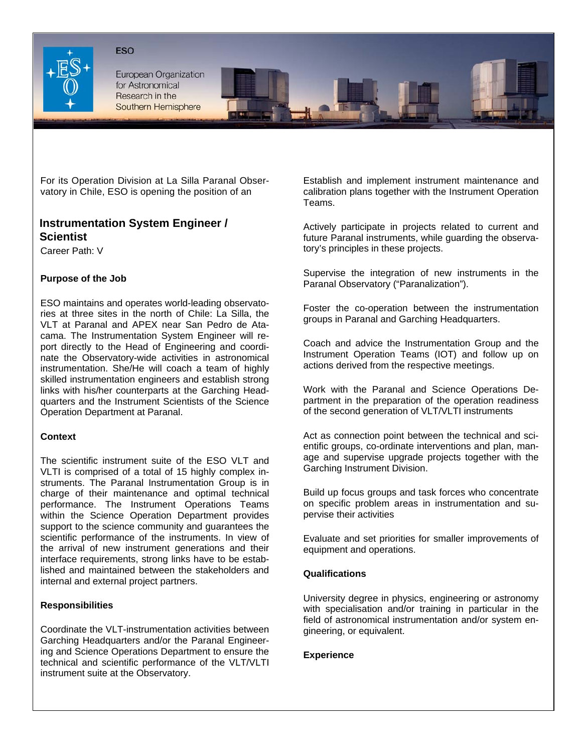#### **ESO**



European Organization for Astronomical Research in the Southern Hemisphere

For its Operation Division at La Silla Paranal Observatory in Chile, ESO is opening the position of an

# **Instrumentation System Engineer /**

Career Path: V

# **Purpose of the Job**

ESO maintains and operates world-leading observatories at three sites in the north of Chile: La Silla, the VLT at Paranal and APEX near San Pedro de Atacama. The Instrumentation System Engineer will report directly to the Head of Engineering and coordinate the Observatory-wide activities in astronomical instrumentation. She/He will coach a team of highly skilled instrumentation engineers and establish strong links with his/her counterparts at the Garching Headquarters and the Instrument Scientists of the Science Operation Department at Paranal.

## **Context**

The scientific instrument suite of the ESO VLT and VLTI is comprised of a total of 15 highly complex instruments. The Paranal Instrumentation Group is in charge of their maintenance and optimal technical performance. The Instrument Operations Teams within the Science Operation Department provides support to the science community and guarantees the scientific performance of the instruments. In view of the arrival of new instrument generations and their interface requirements, strong links have to be established and maintained between the stakeholders and internal and external project partners.

## **Responsibilities**

Coordinate the VLT-instrumentation activities between Garching Headquarters and/or the Paranal Engineering and Science Operations Department to ensure the technical and scientific performance of the VLT/VLTI instrument suite at the Observatory.

Establish and implement instrument maintenance and calibration plans together with the Instrument Operation Teams.

**Scientist Conduct and Conduct Provident Conduct Projects related to current and Scientist Conduct Projects rela<br>Scientist <b>Scientist** Actively participate in projects related to current and future Paranal instruments, whi tory's principles in these projects.

> Supervise the integration of new instruments in the Paranal Observatory ("Paranalization").

> Foster the co-operation between the instrumentation groups in Paranal and Garching Headquarters.

> Coach and advice the Instrumentation Group and the Instrument Operation Teams (IOT) and follow up on actions derived from the respective meetings.

> Work with the Paranal and Science Operations Department in the preparation of the operation readiness of the second generation of VLT/VLTI instruments

> Act as connection point between the technical and scientific groups, co-ordinate interventions and plan, manage and supervise upgrade projects together with the Garching Instrument Division.

> Build up focus groups and task forces who concentrate on specific problem areas in instrumentation and supervise their activities

> Evaluate and set priorities for smaller improvements of equipment and operations.

## **Qualifications**

University degree in physics, engineering or astronomy with specialisation and/or training in particular in the field of astronomical instrumentation and/or system engineering, or equivalent.

## **Experience**